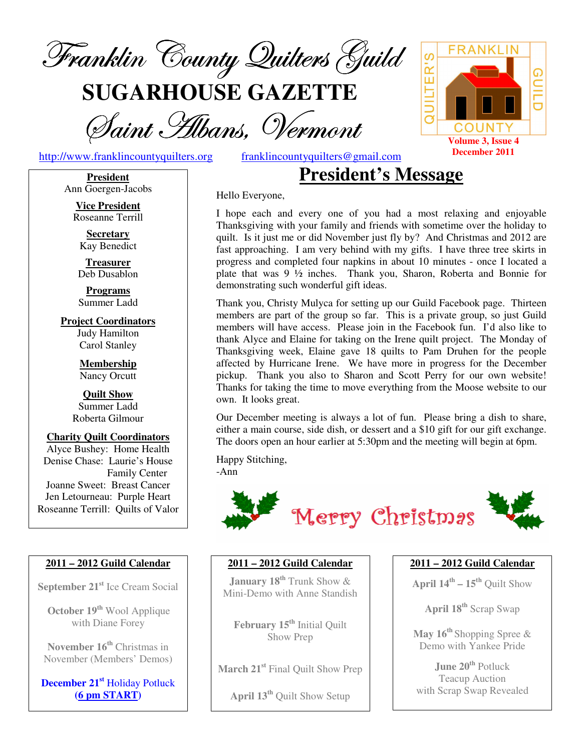

**SUGARHOUSE GAZETTE**

Saint Albans, Vermont

http://www.franklincountyquilters.org franklincountyquilters@gmail.com

**President** Ann Goergen-Jacobs

**Vice President** Roseanne Terrill

**Secretary** Kay Benedict

**Treasurer** Deb Dusablon

**Programs** Summer Ladd

**Project Coordinators** Judy Hamilton Carol Stanley

> **Membership** Nancy Orcutt

**Quilt Show** Summer Ladd Roberta Gilmour

**Charity Quilt Coordinators** Alyce Bushey: Home Health Denise Chase: Laurie's House Family Center Joanne Sweet: Breast Cancer Jen Letourneau: Purple Heart Roseanne Terrill: Quilts of Valor

#### **2011 – 2012 Guild Calendar**

**September 21 st** Ice Cream Social

**October 19 th** Wool Applique with Diane Forey

**November 16 th** Christmas in November (Members' Demos)

**December 21 st** Holiday Potluck **(6 pm START)**

# **President's Message**

Hello Everyone,

I hope each and every one of you had a most relaxing and enjoyable Thanksgiving with your family and friends with sometime over the holiday to quilt. Is it just me or did November just fly by? And Christmas and 2012 are fast approaching. I am very behind with my gifts. I have three tree skirts in progress and completed four napkins in about 10 minutes - once I located a plate that was 9 ½ inches. Thank you, Sharon, Roberta and Bonnie for demonstrating such wonderful gift ideas.

Thank you, Christy Mulyca for setting up our Guild Facebook page. Thirteen members are part of the group so far. This is a private group, so just Guild members will have access. Please join in the Facebook fun. I'd also like to thank Alyce and Elaine for taking on the Irene quilt project. The Monday of Thanksgiving week, Elaine gave 18 quilts to Pam Druhen for the people affected by Hurricane Irene. We have more in progress for the December pickup. Thank you also to Sharon and Scott Perry for our own website! Thanks for taking the time to move everything from the Moose website to our own. It looks great.

Our December meeting is always a lot of fun. Please bring a dish to share, either a main course, side dish, or dessert and a \$10 gift for our gift exchange. The doors open an hour earlier at 5:30pm and the meeting will begin at 6pm.

Happy Stitching, -Ann



#### **2011 – 2012 Guild Calendar**

**January 18 th** Trunk Show & Mini-Demo with Anne Standish

**February 15 th** Initial Quilt Show Prep

**March 21 st** Final Quilt Show Prep

**April 13 th** Quilt Show Setup

#### **2011 – 2012 Guild Calendar**

**April 14 th – 15 th** Quilt Show

**April 18 th** Scrap Swap

**May 16 th** Shopping Spree & Demo with Yankee Pride

**June 20 th** Potluck Teacup Auction with Scrap Swap Revealed

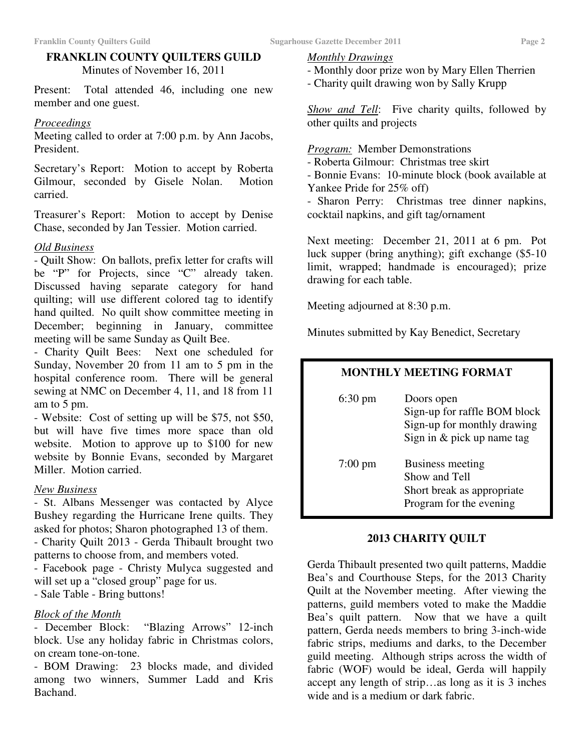#### **FRANKLIN COUNTY QUILTERS GUILD** Minutes of November 16, 2011

Present: Total attended 46, including one new member and one guest.

#### *Proceedings*

Meeting called to order at 7:00 p.m. by Ann Jacobs, President.

Secretary's Report: Motion to accept by Roberta Gilmour, seconded by Gisele Nolan. Motion carried.

Treasurer's Report: Motion to accept by Denise Chase, seconded by Jan Tessier. Motion carried.

#### *Old Business*

- Quilt Show: On ballots, prefix letter for crafts will be "P" for Projects, since "C" already taken. Discussed having separate category for hand quilting; will use different colored tag to identify hand quilted. No quilt show committee meeting in December; beginning in January, committee meeting will be same Sunday as Quilt Bee.

- Charity Quilt Bees: Next one scheduled for Sunday, November 20 from 11 am to 5 pm in the hospital conference room. There will be general sewing at NMC on December 4, 11, and 18 from 11 am to 5 pm.

- Website: Cost of setting up will be \$75, not \$50, but will have five times more space than old website. Motion to approve up to \$100 for new website by Bonnie Evans, seconded by Margaret Miller. Motion carried.

#### *New Business*

- St. Albans Messenger was contacted by Alyce Bushey regarding the Hurricane Irene quilts. They asked for photos; Sharon photographed 13 of them.

- Charity Quilt 2013 - Gerda Thibault brought two patterns to choose from, and members voted.

- Facebook page - Christy Mulyca suggested and will set up a "closed group" page for us.

- Sale Table - Bring buttons!

#### *Block of the Month*

- December Block: "Blazing Arrows" 12-inch block. Use any holiday fabric in Christmas colors, on cream tone-on-tone.

- BOM Drawing: 23 blocks made, and divided among two winners, Summer Ladd and Kris Bachand.

#### *Monthly Drawings*

- Monthly door prize won by Mary Ellen Therrien
- Charity quilt drawing won by Sally Krupp

*Show and Tell*: Five charity quilts, followed by other quilts and projects

*Program:* Member Demonstrations

- Roberta Gilmour: Christmas tree skirt

- Bonnie Evans: 10-minute block (book available at Yankee Pride for 25% off)

- Sharon Perry: Christmas tree dinner napkins, cocktail napkins, and gift tag/ornament

Next meeting: December 21, 2011 at 6 pm. Pot luck supper (bring anything); gift exchange (\$5-10 limit, wrapped; handmade is encouraged); prize drawing for each table.

Meeting adjourned at 8:30 p.m.

Minutes submitted by Kay Benedict, Secretary

### **MONTHLY MEETING FORMAT**

6:30 pm Doors open Sign-up for raffle BOM block Sign-up for monthly drawing Sign in & pick up name tag 7:00 pm Business meeting Show and Tell Short break as appropriate Program for the evening

#### **2013 CHARITY QUILT**

Gerda Thibault presented two quilt patterns, Maddie Bea's and Courthouse Steps, for the 2013 Charity Quilt at the November meeting. After viewing the patterns, guild members voted to make the Maddie Bea's quilt pattern. Now that we have a quilt pattern, Gerda needs members to bring 3-inch-wide fabric strips, mediums and darks, to the December guild meeting. Although strips across the width of fabric (WOF) would be ideal, Gerda will happily accept any length of strip…as long as it is 3 inches wide and is a medium or dark fabric.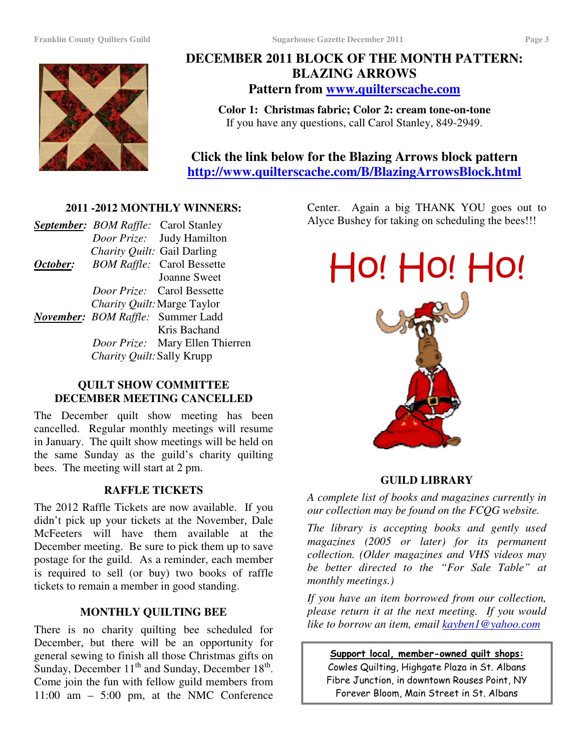

### **DECEMBER 2011 BLOCK OF THE MONTH PATTERN: BLAZING ARROWS Pattern from www.quilterscache.com**

**Color 1: Christmas fabric; Color 2: cream tone-on-tone** If you have any questions, call Carol Stanley, 849-2949.

**Click the link below for the Blazing Arrows block pattern http://www.quilterscache.com/B/BlazingArrowsBlock.html**

#### **2011 -2012 MONTHLY WINNERS:**

|                             | <b>September:</b> BOM Raffle: Carol Stanley |
|-----------------------------|---------------------------------------------|
|                             | Door Prize: Judy Hamilton                   |
| Charity Quilt: Gail Darling |                                             |
|                             | <b>October:</b> BOM Raffle: Carol Bessette  |
|                             | <b>Joanne Sweet</b>                         |
|                             | <i>Door Prize:</i> Carol Bessette           |
|                             | Charity Quilt: Marge Taylor                 |
|                             | November: BOM Raffle: Summer Ladd           |
|                             | Kris Bachand                                |
|                             | Door Prize: Mary Ellen Thierren             |
| Charity Quilt: Sally Krupp  |                                             |
|                             |                                             |

#### **QUILT SHOW COMMITTEE DECEMBER MEETING CANCELLED**

The December quilt show meeting has been cancelled. Regular monthly meetings will resume in January. The quilt show meetings will be held on the same Sunday as the guild's charity quilting bees. The meeting will start at 2 pm.

#### **RAFFLE TICKETS**

The 2012 Raffle Tickets are now available. If you didn't pick up your tickets at the November, Dale McFeeters will have them available at the December meeting. Be sure to pick them up to save postage for the guild. As a reminder, each member is required to sell (or buy) two books of raffle tickets to remain a member in good standing.

#### **MONTHLY QUILTING BEE**

There is no charity quilting bee scheduled for December, but there will be an opportunity for general sewing to finish all those Christmas gifts on Sunday, December 11<sup>th</sup> and Sunday, December 18<sup>th</sup>. Come join the fun with fellow guild members from 11:00 am – 5:00 pm, at the NMC Conference

Center. Again a big THANK YOU goes out to Alyce Bushey for taking on scheduling the bees!!!



#### **GUILD LIBRARY**

*A complete list of books and magazines currently in our collection may be found on the FCQG website.*

*The library is accepting books and gently used magazines (2005 or later) for its permanent collection. (Older magazines and VHS videos may be better directed to the "For Sale Table" at monthly meetings.)*

*If you have an item borrowed from our collection, please return it at the next meeting. If you would like to borrow an item, email kayben1@yahoo.com*

<u>Support local, member-owned quilt shops:</u> Cowles Quilting, Highgate Plaza in St. Albans Fibre Junction, in downtown Rouses Point, NY Forever Bloom, Main Street in St. Albans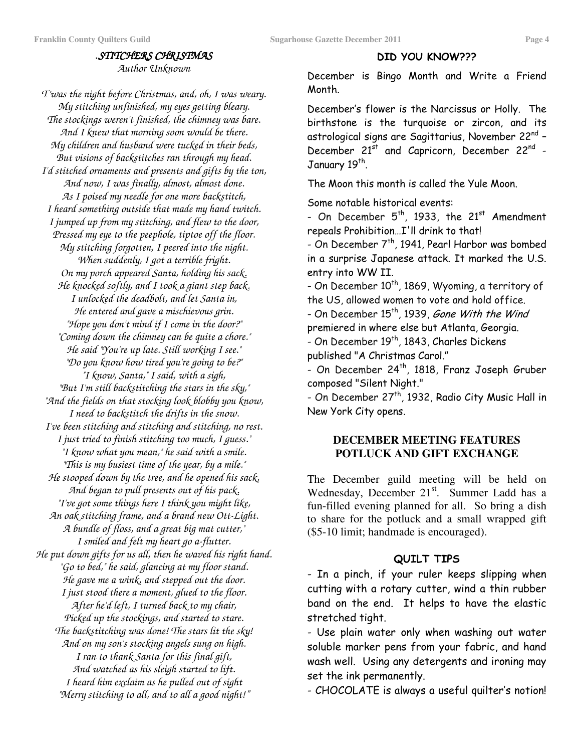#### .*STITCHERS CHRISTMAS Author Unknown*

*T'was the night before Christmas, and, oh, I was weary. My stitching unfinished, my eyes getting bleary. The stockings weren't finished, the chimney was bare. And I knew that morning soon would be there. My children and husband were tucked in their beds, But visions of backstitches ran through my head. I'd stitched ornaments and presents and gifts by the ton, And now, I was finally, almost, almost done. As I poised my needle for one more backstitch, I heard something outside that made my hand twitch. I jumped up from my stitching, and flew to the door, Pressed my eye to the peephole, tiptoe off the floor. My stitching forgotten, I peered into the night. When suddenly, I got a terrible fright. On my porch appeared Santa, holding his sack. He knocked softly, and I took a giant step back. I unlocked the deadbolt, and let Santa in, He entered and gave a mischievous grin. "Hope you don't mind if I come in the door?" "Coming down the chimney can be quite a chore." He said "You're up late. Still working I see." "Do you know how tired you're going to be?" "I know, Santa," I said, with a sigh, "But I'm still backstitching the stars in the sky," "And the fields on that stocking look blobby you know, I need to backstitch the drifts in the snow. I've been stitching and stitching and stitching, no rest. I just tried to finish stitching too much, I guess." "I know what you mean," he said with a smile. "This is my busiest time of the year, by a mile." He stooped down by the tree, and he opened his sack, And began to pull presents out of his pack. "I've got some things here I think you might like, An oak stitching frame, and a brand new Ott-Light. A bundle of floss, and a great big mat cutter," I smiled and felt my heart go a-flutter. He put down gifts for us all, then he waved his right hand. "Go to bed," he said, glancing at my floor stand. He gave me a wink, and stepped out the door. I just stood there a moment, glued to the floor. After he'd left, I turned back to my chair, Picked up the stockings, and started to stare. The backstitching was done! The stars lit the sky! And on my son's stocking angels sung on high. I ran to thank Santa for this final gift, And watched as his sleigh started to lift. I heard him exclaim as he pulled out of sight "Merry stitching to all, and to all a good night!"*

#### DID YOU KNOW???

December is Bingo Month and Write a Friend Month.

December's flower is the Narcissus or Holly. The birthstone is the turquoise or zircon, and its astrological signs are Sagittarius, November 22<sup>nd</sup> – December 21<sup>st</sup> and Capricorn, December 22<sup>nd</sup> -January 19<sup>th</sup>.

The Moon this month is called the Yule Moon.

Some notable historical events:

- On December  $5^{\text{th}}$ , 1933, the 21<sup>st</sup> Amendment repeals Prohibition...I'll drink to that!

- On December 7<sup>th</sup>, 1941, Pearl Harbor was bombed in a surprise Japanese attack. It marked the U.S. entry into WW II.

- On December  $10^{\sf th}$ , 1869, Wyoming, a territory of the US, allowed women to vote and hold office.

- On December 15<sup>th</sup>, 1939, *Gone With the Wind* premiered in where else but Atlanta, Georgia.

- On December 19<sup>th</sup>, 1843, Charles Dickens published "A Christmas Carol."

- On December 24<sup>th</sup>, 1818, Franz Joseph Gruber composed "Silent Night."

- On December 27<sup>th</sup>, 1932, Radio City Music Hall in New York City opens.

#### **DECEMBER MEETING FEATURES POTLUCK AND GIFT EXCHANGE**

The December guild meeting will be held on Wednesday, December 21<sup>st</sup>. Summer Ladd has a fun-filled evening planned for all. So bring a dish to share for the potluck and a small wrapped gift (\$5-10 limit; handmade is encouraged).

#### QUILT TIPS

- In a pinch, if your ruler keeps slipping when cutting with a rotary cutter, wind a thin rubber band on the end. It helps to have the elastic stretched tight.

- Use plain water only when washing out water soluble marker pens from your fabric, and hand wash well. Using any detergents and ironing may set the ink permanently.

- CHOCOLATE is always a useful quilter's notion!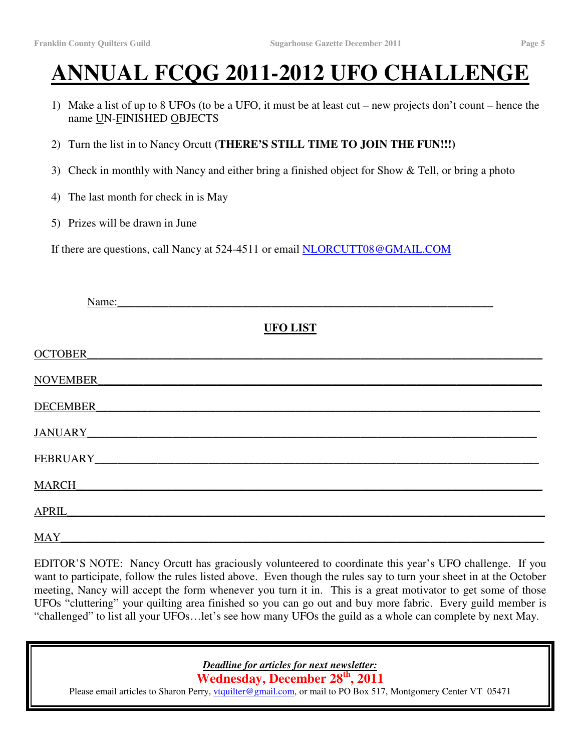# **ANNUAL FCQG 2011-2012 UFO CHALLENGE**

- 1) Make a list of up to 8 UFOs (to be a UFO, it must be at least cut new projects don't count hence the name UN-FINISHED OBJECTS
- 2) Turn the list in to Nancy Orcutt **(THERE'S STILL TIME TO JOIN THE FUN!!!)**
- 3) Check in monthly with Nancy and either bring a finished object for Show & Tell, or bring a photo
- 4) The last month for check in is May
- 5) Prizes will be drawn in June

If there are questions, call Nancy at 524-4511 or email NLORCUTT08@GMAIL.COM

| Name:              |                 |  |
|--------------------|-----------------|--|
|                    | <b>UFO LIST</b> |  |
| <b>OCTOBER</b>     |                 |  |
| NOVEMBER           |                 |  |
| <b>DECEMBER</b>    |                 |  |
| JANUARY_           |                 |  |
| FEBRUARY_          |                 |  |
| MARCH              |                 |  |
| APRIL <sub>.</sub> |                 |  |
| MAY                |                 |  |

EDITOR'S NOTE: Nancy Orcutt has graciously volunteered to coordinate this year's UFO challenge. If you want to participate, follow the rules listed above. Even though the rules say to turn your sheet in at the October meeting, Nancy will accept the form whenever you turn it in. This is a great motivator to get some of those UFOs "cluttering" your quilting area finished so you can go out and buy more fabric. Every guild member is "challenged" to list all your UFOs…let's see how many UFOs the guild as a whole can complete by next May.

*Deadline for articles for next newsletter:*

**Wednesday, December 28 th , 2011**

Please email articles to Sharon Perry, vtquilter@gmail.com, or mail to PO Box 517, Montgomery Center VT 05471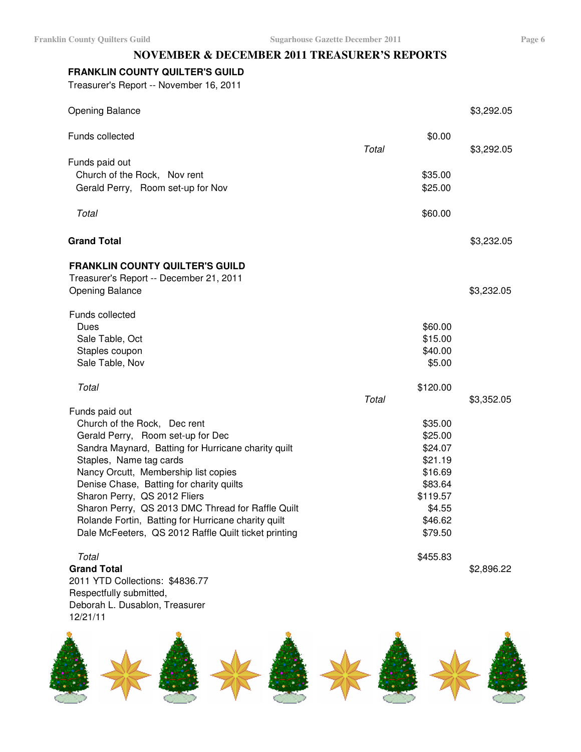#### **NOVEMBER & DECEMBER 2011 TREASURER'S REPORTS**

#### **FRANKLIN COUNTY QUILTER'S GUILD**

Treasurer's Report -- November 16, 2011

| <b>Opening Balance</b>                               |       |          | \$3,292.05 |
|------------------------------------------------------|-------|----------|------------|
| Funds collected                                      |       | \$0.00   |            |
| Funds paid out                                       | Total |          | \$3,292.05 |
| Church of the Rock, Nov rent                         |       | \$35.00  |            |
| Gerald Perry, Room set-up for Nov                    |       | \$25.00  |            |
|                                                      |       |          |            |
| Total                                                |       | \$60.00  |            |
| <b>Grand Total</b>                                   |       |          | \$3,232.05 |
| <b>FRANKLIN COUNTY QUILTER'S GUILD</b>               |       |          |            |
| Treasurer's Report -- December 21, 2011              |       |          |            |
| <b>Opening Balance</b>                               |       |          | \$3,232.05 |
| Funds collected                                      |       |          |            |
| Dues                                                 |       | \$60.00  |            |
| Sale Table, Oct                                      |       | \$15.00  |            |
| Staples coupon                                       |       | \$40.00  |            |
| Sale Table, Nov                                      |       | \$5.00   |            |
|                                                      |       |          |            |
| Total                                                |       | \$120.00 |            |
|                                                      | Total |          | \$3,352.05 |
| Funds paid out<br>Church of the Rock, Dec rent       |       | \$35.00  |            |
| Gerald Perry, Room set-up for Dec                    |       | \$25.00  |            |
| Sandra Maynard, Batting for Hurricane charity quilt  |       | \$24.07  |            |
| Staples, Name tag cards                              |       | \$21.19  |            |
| Nancy Orcutt, Membership list copies                 |       | \$16.69  |            |
| Denise Chase, Batting for charity quilts             |       | \$83.64  |            |
| Sharon Perry, QS 2012 Fliers                         |       | \$119.57 |            |
| Sharon Perry, QS 2013 DMC Thread for Raffle Quilt    |       | \$4.55   |            |
| Rolande Fortin, Batting for Hurricane charity quilt  |       | \$46.62  |            |
| Dale McFeeters, QS 2012 Raffle Quilt ticket printing |       | \$79.50  |            |
| Total                                                |       | \$455.83 |            |
| <b>Grand Total</b>                                   |       |          | \$2,896.22 |
| 2011 VTD Collections: \$1836 77                      |       |          |            |

2011 YTD Collections: \$4836.77 Respectfully submitted, Deborah L. Dusablon, Treasurer 12/21/11

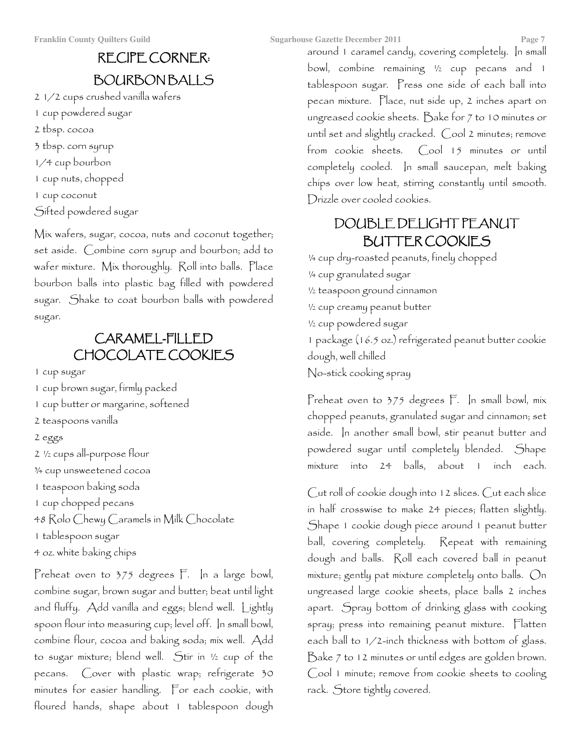# **RECIPE CORNER: BOURBONBALLS**

2 1/2 cups crushed vanilla wafers 1 cup powdered sugar 2 tbsp. cocoa 3 tbsp. corn syrup 1/4 cup bourbon 1 cup nuts, chopped 1 cup coconut Sifted powdered sugar

Mix wafers, sugar, cocoa, nuts and coconut together; set aside. Combine corn syrup and bourbon; add to wafer mixture. Mix thoroughly. Roll into balls. Place bourbon balls into plastic bag filled with powdered sugar. Shake to coat bourbon balls with powdered sugar.

# CARAMEL-FILLED CHOCOLATE COOKIES

1 cup sugar

- 1 cup brown sugar, firmly packed
- 1 cup butter or margarine, softened
- 2 teaspoons vanilla
- 2 eggs
- 2 1/2 cups all-purpose flour
- 3/4 cup unsweetened cocoa
- 1 teaspoon baking soda
- 1 cup chopped pecans
- 48 Rolo Chewy Caramels in Milk Chocolate
- 1 tablespoon sugar
- 4 oz. white baking chips

Preheat oven to 375 degrees F. In a large bowl, combine sugar, brown sugar and butter; beat until light and fluffy. Add vanilla and eggs; blend well. Lightly spoon flour into measuring cup; level off. In small bowl, combine flour, cocoa and baking soda; mix well. Add to sugar mixture; blend well. Stir in 1/2 cup of the pecans. Cover with plastic wrap; refrigerate 30 minutes for easier handling. For each cookie, with floured hands, shape about 1 tablespoon dough around 1 caramel candy, covering completely. In small bowl, combine remaining 1/2 cup pecans and 1 tablespoon sugar. Press one side of each ball into pecan mixture. Place, nut side up, 2 inches apart on ungreased cookie sheets. Bake for 7 to 10 minutes or until set and slightly cracked. Cool 2 minutes; remove from cookie sheets. Cool 15 minutes or until completely cooled. In small saucepan, melt baking chips over low heat, stirring constantly until smooth. Drizzle over cooled cookies.

# DOUBLE DELIGHT PEANUT **BUTTER COOKIES**

1/4 cup dry-roasted peanuts, finely chopped 1/4 cup granulated sugar 1/2 teaspoon ground cinnamon 1/2 cup creamy peanut butter 1/2 cup powdered sugar 1 package (16.5 oz.) refrigerated peanut butter cookie dough, well chilled No-stick cooking spray

Preheat oven to 375 degrees F. In small bowl, mix chopped peanuts, granulated sugar and cinnamon; set aside. In another small bowl, stir peanut butter and powdered sugar until completely blended. Shape mixture into 24 balls, about 1 inch each.

Cut roll of cookie dough into 12 slices. Cut each slice in half crosswise to make 24 pieces; flatten slightly. Shape 1 cookie dough piece around 1 peanut butter ball, covering completely. Repeat with remaining dough and balls. Roll each covered ball in peanut mixture; gently pat mixture completely onto balls. On ungreased large cookie sheets, place balls 2 inches apart. Spray bottom of drinking glass with cooking spray; press into remaining peanut mixture. Flatten each ball to 1/2-inch thickness with bottom of glass. Bake 7 to 12 minutes or until edges are golden brown. Cool 1 minute; remove from cookie sheets to cooling rack. Store tightly covered.